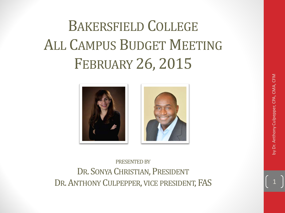### BAKERSFIELD COLLEGE ALL CAMPUS BUDGET MEETING FEBRUARY 26, 2015





PRESENTED BY D R. SONYA CHRISTIAN, PRESIDENT D R. ANTHONY CULPEPPER, VICE PRESIDENT, FAS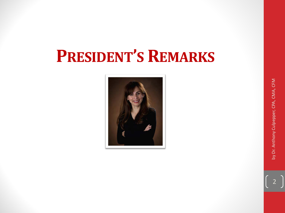### **PRESIDENT ' S REMARKS**

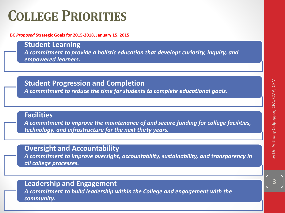# oy Dr. Anthony Culpepper, CPA, CMA, CFM by Dr. Anthony Culpepper, CPA, CMA, CFM

#### **COLLEGE PRIORITIES**

**BC** *Proposed* **Strategic Goals for 2015-2018, January 15, 2015**

**Student Learning**  *A commitment to provide a holistic education that develops curiosity, inquiry, and empowered learners.*

**Student Progression and Completion** 

*A commitment to reduce the time for students to complete educational goals.*

#### **Facilities**

*A commitment to improve the maintenance of and secure funding for college facilities, technology, and infrastructure for the next thirty years.*

#### **Oversight and Accountability**

*A commitment to improve oversight, accountability, sustainability, and transparency in all college processes.*

#### **Leadership and Engagement**

*A commitment to build leadership within the College and engagement with the community.*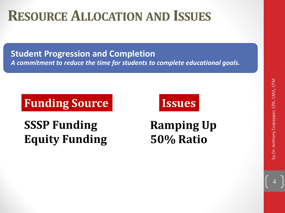#### **RESOURCE ALLOCATION AND ISSUES**

**Student Progression and Completion**  *A commitment to reduce the time for students to complete educational goals.*

#### **Funding Source Issues**

#### **SSSP Funding Equity Funding**



#### **Ramping Up 50% Ratio**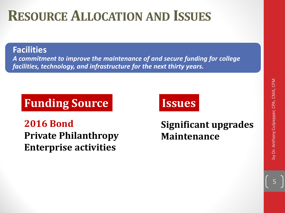#### **RESOURCE ALLOCATION AND ISSUES**

**Facilities** 

*A commitment to improve the maintenance of and secure funding for college facilities, technology, and infrastructure for the next thirty years.*

#### **Funding Source Issues**

**2016 Bond Private Philanthropy Enterprise activities**

#### **Significant upgrades Maintenance**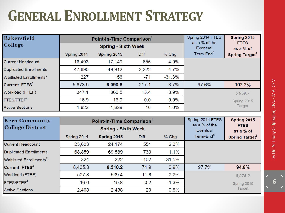#### **GENERAL ENROLLMENT STRATEGY**

| <b>Bakersfield</b>                  |             | Point-in-Time Comparison   |             |          | Spring 2014 FTES<br>as a % of the    | Spring 2015                       |  |  |  |
|-------------------------------------|-------------|----------------------------|-------------|----------|--------------------------------------|-----------------------------------|--|--|--|
| College                             |             | <b>Spring - Sixth Week</b> |             |          | <b>FTES</b><br>Eventual<br>as a % of |                                   |  |  |  |
|                                     | Spring 2014 | Spring 2015                | <b>Diff</b> | $%$ Chg  | Term-End <sup>5</sup>                | <b>Spring Target</b> <sup>6</sup> |  |  |  |
| <b>Current Headcount</b>            | 16,493      | 17,149                     | 656         | 4.0%     |                                      |                                   |  |  |  |
| <b>Duplicated Enrollments</b>       | 47,690      | 49,912                     | 2,222       | 4.7%     |                                      |                                   |  |  |  |
| Waitlisted Enrollments <sup>2</sup> | 227         | 156                        | $-71$       | $-31.3%$ |                                      |                                   |  |  |  |
| Current FTES <sup>3</sup>           | 5,873.5     | 6,090.6                    | 217.1       | 3.7%     | 97.6%                                | 102.2%                            |  |  |  |
| Workload (FTEF)                     | 347.1       | 360.5                      | 13.4        | 3.9%     |                                      | 5,959.7                           |  |  |  |
| FTES/FTEF <sup>4</sup>              | 16.9        | 16.9                       | 0.0         | $0.0\%$  |                                      | Spring 2015                       |  |  |  |
| <b>Active Sections</b>              | 1,623       | 1,639                      | 16          | 1.0%     |                                      | Target                            |  |  |  |

| <b>Kern Community</b>               |             | Point-in-Time Comparison   | Spring 2014 FTES<br>as a % of the | Spring 2015<br><b>FTES</b> |                       |                                   |
|-------------------------------------|-------------|----------------------------|-----------------------------------|----------------------------|-----------------------|-----------------------------------|
| <b>College District</b>             |             | <b>Spring - Sixth Week</b> |                                   |                            | Eventual              | as a % of                         |
|                                     | Spring 2014 | Spring 2015                | <b>Diff</b>                       | $%$ Chg                    | Term-End <sup>5</sup> | <b>Spring Target</b> <sup>6</sup> |
| <b>Current Headcount</b>            | 23,623      | 24,174                     | 551                               | 2.3%                       |                       |                                   |
| <b>Duplicated Enrollments</b>       | 68,859      | 69,589                     | 730                               | 1.1%                       |                       |                                   |
| Waitlisted Enrollments <sup>2</sup> | 324         | 222                        | $-102$                            | $-31.5%$                   |                       |                                   |
| Current FTES <sup>3</sup>           | 8,435.3     | 8,510.2                    | 74.9                              | 0.9%                       | 97.7%                 | 94.8%                             |
| Workload (FTEF)                     | 527.8       | 539.4                      | 11.6                              | 2.2%                       |                       | 8,975.2                           |
| FTES/FTEF <sup>4</sup>              | 16.0        | 15.8                       | $-0.2$                            | $-1.3%$                    |                       | Spring 2015                       |
| <b>Active Sections</b>              | 2,468       | 2,488                      | 20                                | 0.8%                       |                       | Target                            |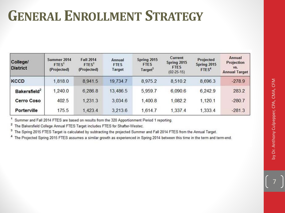#### **GENERAL ENROLLMENT STRATEGY**

| <b>College/</b><br><b>District</b> | Summer 2014<br>FTES <sup>1</sup><br>(Projected) | <b>Fall 2014</b><br>FTES <sup>1</sup><br>(Projected) | Annual<br><b>FTES</b><br>Target | Spring 2015<br><b>FTES</b><br>Target <sup>3</sup> | Current<br>Spring 2015<br><b>FTES</b><br>$(02 - 25 - 15)$ | Projected<br>Spring 2015<br>FTES <sup>4</sup> | Annual<br>Projection<br>VS.<br><b>Annual Target</b> |
|------------------------------------|-------------------------------------------------|------------------------------------------------------|---------------------------------|---------------------------------------------------|-----------------------------------------------------------|-----------------------------------------------|-----------------------------------------------------|
| KCCD                               | 1,818.0                                         | 8.941.5                                              | 19.734.7                        | 8.975.2                                           | 8,510.2                                                   | 8,696.3                                       | $-278.9$                                            |
| Bakersfield <sup>2</sup>           | 1,240.0                                         | 6,286.8                                              | 13,486.5                        | 5,959.7                                           | 6,090.6                                                   | 6,242.9                                       | 283.2                                               |
| <b>Cerro Coso</b>                  | 402.5                                           | 1,231.3                                              | 3.034.6                         | 1,400.8                                           | 1,082.2                                                   | 1,120.1                                       | $-280.7$                                            |
| Porterville                        | 175.5                                           | 1,423.4                                              | 3,213.6                         | 1.614.7                                           | 1,337.4                                                   | 1.333.4                                       | $-281.3$                                            |

Summer and Fall 2014 FTES are based on results from the 320 Apportionment Period 1 reporting. 1

<sup>2</sup> The Bakersfield College Annual FTES Target includes FTES for Shafter-Westec.

3 The Spring 2015 FTES Target is calculated by subtracting the projected Summer and Fall 2014 FTES from the Annual Target.

<sup>4</sup> The Projected Spring 2015 FTES assumes a similar growth as experienced in Spring 2014 between this time in the term and term-end.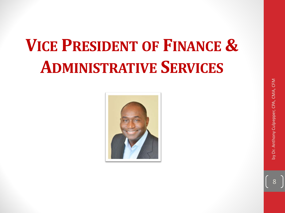## **VICE PRESIDENT OF FINANCE & ADMINISTRATIVE SERVICES**

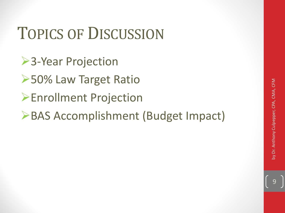9

### TOPICS OF DISCUSSION

- **▶ 3-Year Projection**
- **≻50% Law Target Ratio**
- Enrollment Projection
- BAS Accomplishment (Budget Impact)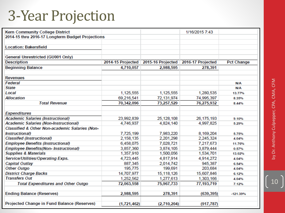### 3 -Year Projection

| <b>Kern Community College District</b>           |                   |                   | 1/16/2015 7:43    |                   |
|--------------------------------------------------|-------------------|-------------------|-------------------|-------------------|
| 2014-15 thru 2016-17 Longterm Budget Projections |                   |                   |                   |                   |
|                                                  |                   |                   |                   |                   |
| <b>Location: Bakersfield</b>                     |                   |                   |                   |                   |
|                                                  |                   |                   |                   |                   |
| General Unrestricted (GU001 Only)                |                   |                   |                   |                   |
| <b>Description</b>                               | 2014-15 Projected | 2015-16 Projected | 2016-17 Projected | <b>Pct Change</b> |
| <b>Beginning Balance</b>                         | 4,710,057         | 2,988,595         | 278,391           |                   |
|                                                  |                   |                   |                   |                   |
| <b>Revenues</b>                                  |                   |                   |                   |                   |
| Federal                                          |                   |                   |                   | <b>N/A</b>        |
| <b>State</b>                                     |                   |                   |                   | <b>N/A</b>        |
| Local                                            | 1,125,555         | 1,125,555         | 1,280,535         | 13.77%            |
| <b>Allocation</b>                                | 69,216,541        | 72,131,974        | 74,995,397        | 8.35%             |
| <b>Total Revenue</b>                             | 70,342,096        | 73,257,529        | 76,275,932        | 8.44%             |
|                                                  |                   |                   |                   |                   |
| <b>Expenditures</b>                              |                   |                   |                   |                   |
| <b>Academic Salaries (Instructional)</b>         | 23,992,839        | 25, 128, 108      | 26, 175, 193      | 9.10%             |
| <b>Academic Salaries (Non-Instructional)</b>     | 4,746,937         | 4,824,140         | 4,997,825         | 5.29%             |
| Classified & Other Non-academic Salaries (Non-   |                   |                   |                   |                   |
| <i><b>Instructional</b></i>                      | 7,725,199         | 7,983,220         | 8,169,204         | 5.75%             |
| <b>Classifed (Instructional)</b>                 | 2,158,135         | 2,201,298         | 2,245,324         | 4.04%             |
| <b>Employee Benefits (Instructional)</b>         | 6,458,075         | 7,028,721         | 7,217,673         | 11.76%            |
| <b>Employee Benefits(Non-Instructional)</b>      | 3,857,360         | 3,874,105         | 3,879,444         | 0.57%             |
| <b>Supplies &amp; Materials</b>                  | 1,357,910         | 1,500,056         | 1,534,701         | 13.02%            |
| Service/Utilities/Operating Exps.                | 4,723,445         | 4,817,914         | 4,914,272         | 4.04%             |
| <b>Capital Outlay</b>                            | 887,345           | 2,014,742         | 945,387           | 6.54%             |
| <b>Other Outgo</b>                               | 195,775           | 199,691           | 203,684           | 4.04%             |
| <b>District Charge Backs</b>                     | 14,707,977        | 15, 118, 126      | 15,607,846        | 6.12%             |
| <b>Transfers Out</b>                             | 1,252,562         | 1,277,613         | 1,303,166         | 4.04%             |
| <b>Total Expenditures and Other Outgo</b>        | 72,063,558        | 75,967,733        | 77,193,719        | 7.12%             |
| <b>Ending Balance (Reserves)</b>                 | 2,988,595         | 278,391           | (639, 395)        | $-121.39%$        |
| Projected Change in Fund Balance (Reserves)      | (1,721,462)       | (2,710,204)       | (917, 787)        |                   |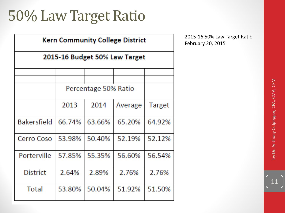#### 50% Law Target Ratio

| <b>Kern Community College District</b> |        |                      |         |        |  |  |  |  |  |  |
|----------------------------------------|--------|----------------------|---------|--------|--|--|--|--|--|--|
| 2015-16 Budget 50% Law Target          |        |                      |         |        |  |  |  |  |  |  |
|                                        |        |                      |         |        |  |  |  |  |  |  |
|                                        |        | Percentage 50% Ratio |         |        |  |  |  |  |  |  |
|                                        | 2013   | 2014                 | Average | Target |  |  |  |  |  |  |
| <b>Bakersfield</b>                     | 66.74% | 63.66%               | 65.20%  | 64.92% |  |  |  |  |  |  |
| Cerro Coso                             | 53.98% | 50.40%               | 52.19%  | 52.12% |  |  |  |  |  |  |
| Porterville                            | 57.85% | 55.35%               | 56.60%  | 56.54% |  |  |  |  |  |  |
| <b>District</b>                        | 2.64%  | 2.89%                | 2.76%   | 2.76%  |  |  |  |  |  |  |
| Total                                  | 53.80% | 50.04%               | 51.92%  | 51.50% |  |  |  |  |  |  |

2015-16 50% Law Target Ratio February 20, 2015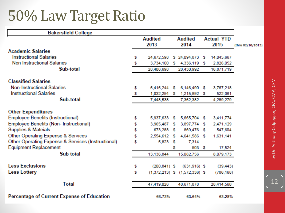#### 50% Law Target Ratio

| <b>Bakersfield College</b>                         |    |                 |   |                                   |                   |                   |
|----------------------------------------------------|----|-----------------|---|-----------------------------------|-------------------|-------------------|
|                                                    |    | <b>Audited</b>  |   | <b>Audited</b>                    | <b>Actual YTD</b> |                   |
|                                                    |    | 2013            |   | 2014                              | 2015              | (thru 02/10/2015) |
| <b>Academic Salaries</b>                           |    |                 |   |                                   |                   |                   |
| <b>Instructional Salaries</b>                      | s  | 24,672,598      |   | \$24,094,873 \$                   | 14,045,667        |                   |
| Non Instructional Salaries                         | s  |                 |   | 3,734,100 \$ 4,336,119 \$         | 2,826,052         |                   |
| Sub-total                                          |    | 28,406,698      |   | 28,430,992                        | 16,871,719        |                   |
| <b>Classified Salaries</b>                         |    |                 |   |                                   |                   |                   |
| <b>Non-Instructional Salaries</b>                  | \$ | 6,416,244 \$    |   | 6,146,490 \$                      | 3,767,218         |                   |
| <b>Instructional Salaries</b>                      | s  | 1,032,294 \$    |   | 1,215,892 \$                      | 522,061           |                   |
| Sub-total                                          |    | 7,448,538       |   | 7,362,382                         | 4,289,279         |                   |
| <b>Other Expenditures</b>                          |    |                 |   |                                   |                   |                   |
| <b>Employee Benefits (Instructional)</b>           | \$ |                 |   | 5,937,633 \$ 5,665,704 \$         | 3,411,774         |                   |
| Employee Benefits (Non- Instructional)             | S  | 3,965,487 \$    |   | 3,897,774 \$                      | 2,471,129         |                   |
| Supplies & Mateials                                | \$ | 673,288 \$      |   | 869,476 \$                        | 547,604           |                   |
| Other Operating Expense & Services                 | \$ |                 |   | 2,554,612 \$ 4,641,586 \$         | 1,631,141         |                   |
| Other Operating Expense & Services (Instructional) | s  | $5,823$ \$      |   | 7,314                             |                   |                   |
| <b>Equipment Replacement</b>                       |    |                 | S | 903 \$                            | 17,524            |                   |
| Sub total                                          |    | 13,136,844      |   | 15,082,756                        | 8,079,173         |                   |
| <b>Less Exclusions</b>                             | \$ | $(200, 841)$ \$ |   | $(631,916)$ \$                    | (39, 443)         |                   |
| <b>Less Lottery</b>                                | S  |                 |   | $(1,372,213)$ \$ $(1,572,336)$ \$ | (786, 168)        |                   |
| <b>Total</b>                                       |    | 47,419,026      |   | 48,671,878                        | 28,414,560        |                   |
| Percentage of Current Expense of Education         |    | 66.73%          |   | 63.64%                            | 63.28%            |                   |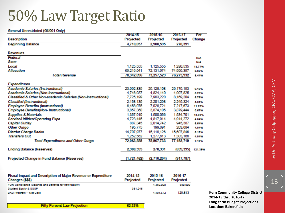#### 50% Law Target Ratio

#### **General Unrestricted (GU001 Only)**

|                                                               | 2014-15     | 2015-16     | 2016-17    | Pct        |
|---------------------------------------------------------------|-------------|-------------|------------|------------|
| <b>Description</b>                                            | Projected   | Projected   | Projected  | Change     |
| <b>Beginning Balance</b>                                      | 4,710,057   | 2,988,595   | 278,391    |            |
| <b>Revenues</b>                                               |             |             |            |            |
| Federal                                                       |             |             |            | <b>N/A</b> |
| State                                                         |             |             |            | <b>N/A</b> |
| Local                                                         | 1,125,555   | 1,125,555   | 1,280,535  | 13.77%     |
| <b>Allocation</b>                                             | 69,216,541  | 72,131,974  | 74,995,397 | 8.35%      |
| <b>Total Revenue</b>                                          | 70,342,096  | 73,257,529  | 76,275,932 | 8.44%      |
| <b>Expenditures</b>                                           |             |             |            |            |
| <b>Academic Salaries (Instructional)</b>                      | 23,992,839  | 25,128,108  | 26,175,193 | 9.10%      |
| Academic Salaries (Non-Instructional)                         | 4,746,937   | 4,824,140   | 4,997,825  | 6.29%      |
| Classified & Other Non-academic Salaries (Non-Instructional)  | 7,725,199   | 7,983,220   | 8,169,204  | 6.76%      |
| <b>Classifed (Instructional)</b>                              | 2,158,135   | 2,201,298   | 2,245,324  | 4.04%      |
| <b>Employee Benefits (Instructional)</b>                      | 6,458,075   | 7,028,721   | 7,217,673  | 11.76%     |
| Employee Benefits(Non- Instructional)                         | 3,857,360   | 3,874,105   | 3,879,444  | 0.67%      |
| <b>Supplies &amp; Materials</b>                               | 1,357,910   | 1,500,056   | 1,534,701  | 13.02%     |
| Service/Utilities/Operating Exps.                             | 4,723,445   | 4,817,914   | 4,914,272  | 4.04%      |
| <b>Capital Outlay</b>                                         | 887,345     | 2,014,742   | 945,387    | 6.64%      |
| Other Outgo                                                   | 195,775     | 199,691     | 203,684    | 4.04%      |
| <b>District Charge Backs</b>                                  | 14,707,977  | 15,118,126  | 15,607,846 | 6.12%      |
| <b>Transfers Out</b>                                          | 1,252,562   | 1,277,613   | 1,303,166  | 4.04%      |
| <b>Total Expenditures and Other Outgo</b>                     | 72,063,558  | 75,967,733  | 77,193,719 | 7.12%      |
| <b>Ending Balance (Reserves)</b>                              | 2,988,595   | 278,391     | (639, 395) | $-121.38%$ |
| Projected Change in Fund Balance (Reserves)                   | (1,721,462) | (2,710,204) | (917, 787) |            |
|                                                               |             |             |            |            |
| Fiscal Impact and Description of Major Revenue or Expenditure | 2014-15     | 2015-16     | 2016-17    |            |
| Changes (\$\$\$)                                              | Projected   | Projected   | Projected  |            |
| FON Compilance (Salaries and Benefits for new faculty)        |             | 1,360,000   | 680,000    |            |
| Student Equity & SSSP                                         | 361,246     |             |            |            |
| BAS Program -- Net Cost                                       |             | 1,494,572   | 129,613    |            |
|                                                               | 62.33%      |             |            |            |
| <b>Fifty Percent Law Projection</b>                           |             |             |            |            |

by Dr. Anthony Culpepper, CPA, CMA, CFM by Dr. Anthony Culpepper, CPA, CMA, CFM

13

**Kern Community College District 2014-15 thru 2016-17 Long-term Budget Projections Location: Bakersfield**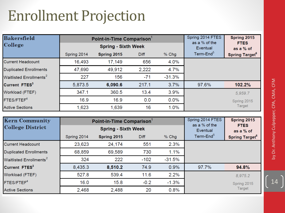#### Enrollment Projection

| <b>Bakersfield</b>                  |             | Point-in-Time Comparison   | Spring 2014 FTES<br>as a % of the | Spring 2015 |                                      |                                   |  |  |  |
|-------------------------------------|-------------|----------------------------|-----------------------------------|-------------|--------------------------------------|-----------------------------------|--|--|--|
| College                             |             | <b>Spring - Sixth Week</b> |                                   |             | <b>FTES</b><br>Eventual<br>as a % of |                                   |  |  |  |
|                                     | Spring 2014 | Spring 2015                | Diff                              | $%$ Chg     | Term-End <sup>5</sup>                | <b>Spring Target</b> <sup>6</sup> |  |  |  |
| <b>Current Headcount</b>            | 16,493      | 17,149                     | 656                               | 4.0%        |                                      |                                   |  |  |  |
| <b>Duplicated Enrollments</b>       | 47,690      | 49,912                     | 2,222                             | 4.7%        |                                      |                                   |  |  |  |
| Waitlisted Enrollments <sup>2</sup> | 227         | 156                        | $-71$                             | $-31.3%$    |                                      |                                   |  |  |  |
| Current FTES <sup>3</sup>           | 5,873.5     | 6,090.6                    | 217.1                             | 3.7%        | 97.6%                                | 102.2%                            |  |  |  |
| Workload (FTEF)                     | 347.1       | 360.5                      | 13.4                              | 3.9%        |                                      | 5,959.7                           |  |  |  |
| FTES/FTEF <sup>4</sup>              | 16.9        | 16.9                       | 0.0                               | $0.0\%$     |                                      | Spring 2015                       |  |  |  |
| <b>Active Sections</b>              | 1,623       | 1,639                      | 16                                | 1.0%        |                                      | Target                            |  |  |  |

| <b>Kern Community</b>               |             | Point-in-Time Comparison   | Spring 2014 FTES<br>as a $%$ of the | Spring 2015 |                                      |                                   |  |  |  |  |
|-------------------------------------|-------------|----------------------------|-------------------------------------|-------------|--------------------------------------|-----------------------------------|--|--|--|--|
| <b>College District</b>             |             | <b>Spring - Sixth Week</b> |                                     |             | <b>FTES</b><br>Eventual<br>as a % of |                                   |  |  |  |  |
|                                     | Spring 2014 | Spring 2015                | <b>Diff</b>                         | $%$ Chg     | Term-End <sup>5</sup>                | <b>Spring Target</b> <sup>6</sup> |  |  |  |  |
| <b>Current Headcount</b>            | 23,623      | 24,174                     | 551                                 | 2.3%        |                                      |                                   |  |  |  |  |
| <b>Duplicated Enrollments</b>       | 68,859      | 69,589                     | 730                                 | 1.1%        |                                      |                                   |  |  |  |  |
| Waitlisted Enrollments <sup>2</sup> | 324         | 222                        | $-102$                              | $-31.5%$    |                                      |                                   |  |  |  |  |
| Current FTES <sup>3</sup>           | 8,435.3     | 8,510.2                    | 74.9                                | 0.9%        | 97.7%                                | 94.8%                             |  |  |  |  |
| Workload (FTEF)                     | 527.8       | 539.4                      | 11.6                                | 2.2%        |                                      | 8,975.2                           |  |  |  |  |
| FTES/FTEF <sup>4</sup>              | 16.0        | 15.8                       | $-0.2$                              | $-1.3%$     |                                      | Spring 2015                       |  |  |  |  |
| <b>Active Sections</b>              | 2,468       | 2,488                      | 20                                  | 0.8%        |                                      | <b>Target</b>                     |  |  |  |  |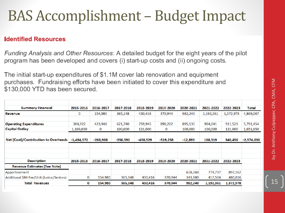#### BAS Accomplishment – Budget Impact

#### **Identified Resources**

Funding Analysis and Other Resources: A detailed budget for the eight years of the pilot program has been developed and covers (i) start-up costs and (ii) ongoing costs.

The initial start-up expenditures of \$1.1M cover lab renovation and equipment purchases. Fundraising efforts have been initiated to cover this expenditure and \$130,000 YTD has been secured.

| <b>Summary Financial</b>                  | 2015-2016    | 2016-2017  | 2017-2018 | 2018-2019 | 2019-2020  | 2020-2021 | 2021-2022 | 2022-2023 | Total        |
|-------------------------------------------|--------------|------------|-----------|-----------|------------|-----------|-----------|-----------|--------------|
| Revenue                                   | 0            | 154,980    | 365,148   | 430,416   | 370,944    | 982,240   | 1,192,361 | 1,372,978 | 4,869,067    |
| <b>Operating Expenditures</b>             | 384,922      | 423,948    | 621,740   | 759,945   | 890,202    | 895,135   | 904,041   | 911,521   | 5,791,454    |
| Capital Outlay                            | 1,109,650    | 0          | 100,000   | 121,000   | 0          | 100,000   | 100,000   | 121,000   | 1,651,650    |
| Net (Cost)/Contribution to Overheads      | $-1,494,572$ | $-268,968$ | -356,592  | -450,529  | $-519,258$ | -12,895   | 188,319   | 340,456   | $-2,574,038$ |
|                                           |              |            |           |           |            |           |           |           |              |
|                                           |              |            |           |           |            |           |           |           |              |
| <b>Description</b>                        | 2015-2016    | 2016-2017  | 2017-2018 | 2018-2019 | 2019-2020  | 2020-2021 | 2021-2022 | 2022-2023 |              |
| <b>Revenue Estimates (See Note)</b>       |              |            |           |           |            |           |           |           |              |
| Apportionment                             |              |            |           |           |            | 638,260   | 774,797   | 892,162   |              |
| Additional \$84 Fee/Unit (Junior/Seniors) | 0            | 154,980    | 365,148   | 430,416   | 370,944    | 343,980   | 417,564   | 480,816   |              |
| <b>Total Revenues</b>                     | 0            | 154,980    | 365,148   | 430,416   | 370,944    | 982,240   | 1,192,361 | 1,372,978 |              |
|                                           |              |            |           |           |            |           |           |           |              |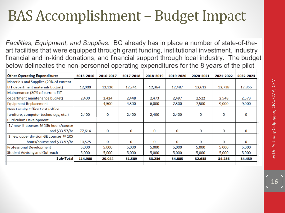#### BAS Accomplishment – Budget Impact

Facilities, Equipment, and Supplies: BC already has in place a number of state-of-theart facilities that were equipped through grant funding, institutional investment, industry financial and in-kind donations, and financial support through local industry. The budget below delineates the non-personnel operating expenditures for the 8 years of the pilot.

| <b>Other Operating Expenditures</b>    | 2015-2016 | 2016-2017 | 2017-2018 | 2018-2019 | 2019-2020 | 2020-2021 | 2021-2022 | 2022-2023 |
|----------------------------------------|-----------|-----------|-----------|-----------|-----------|-----------|-----------|-----------|
| Materials and Supplies (20% of current |           |           |           |           |           |           |           |           |
| EIT department materials budget)       | 12,000    | 12,120    | 12,241    | 12,364    | 12,487    | 12,612    | 12,738    | 12,866    |
| Maintenance (20% of current EIT        |           |           |           |           |           |           |           |           |
| department maintenance budget)         | 2,400     | 2,424     | 2,448     | 2,473     | 2,497     | 2,522     | 2,548     | 2,573     |
| Equipment Replacement                  |           | 4,500     | 4,500     | 6,000     | 7,500     | 7,500     | 9,000     | 9,000     |
| New Faculty Office Cost (office        |           |           |           |           |           |           |           |           |
| furniture, computer technology, etc.)  | 2,400     | 0         | 2,400     | 2,400     | 2,400     | 0         | 0         | 0         |
| Curriculum Development                 |           |           |           |           |           |           |           |           |
| 17 new IT courses @ 136 hours/course   |           |           |           |           |           |           |           |           |
| and \$33.57/hr                         | 77,614    | 0         | 0         | 0         | 0         | 0         | $\Omega$  | $\Omega$  |
| 3 new upper division GE courses @ 105  |           |           |           |           |           |           |           |           |
| hours/course and \$33.57/hr            | 10,575    | 0         | 0         | 0         | 0         | 0         | 0         | 0         |
| <b>Professional Development</b>        | 5,000     | 5,000     | 5,000     | 5,000     | 5,000     | 5,000     | 5,000     | 5,000     |
| <b>Student Advising and Outreach</b>   | 5,000     | 5,000     | 5,000     | 5,000     | 5,000     | 5,000     | 5,000     | 5,000     |
| Sub-Total                              | 114,988   | 29,044    | 31,589    | 33,236    | 34,885    | 32,635    | 34,286    | 34,439    |